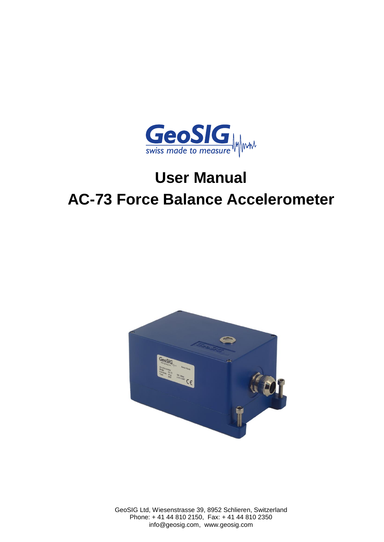

# **User Manual AC-73 Force Balance Accelerometer**



GeoSIG Ltd, Wiesenstrasse 39, 8952 Schlieren, Switzerland Phone: + 41 44 810 2150, Fax: + 41 44 810 2350 info@geosig.com, www.geosig.com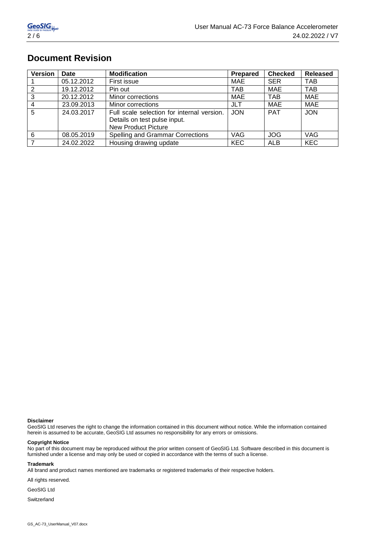# **Document Revision**

| <b>Version</b> | <b>Date</b> | <b>Modification</b>                        | Prepared   | <b>Checked</b> | <b>Released</b> |
|----------------|-------------|--------------------------------------------|------------|----------------|-----------------|
|                | 05.12.2012  | First issue                                | MAE        | <b>SER</b>     | TAB             |
| 2              | 19.12.2012  | Pin out                                    | <b>TAB</b> | MAE            | TAB             |
| 3              | 20.12.2012  | Minor corrections                          | MAE        | <b>TAB</b>     | MAE             |
| $\overline{4}$ | 23.09.2013  | Minor corrections                          | JLT        | MAE            | <b>MAE</b>      |
| $\overline{5}$ | 24.03.2017  | Full scale selection for internal version. | <b>JON</b> | <b>PAT</b>     | <b>JON</b>      |
|                |             | Details on test pulse input.               |            |                |                 |
|                |             | <b>New Product Picture</b>                 |            |                |                 |
| 6              | 08.05.2019  | Spelling and Grammar Corrections           | <b>VAG</b> | <b>JOG</b>     | VAG             |
|                | 24.02.2022  | Housing drawing update                     | <b>KEC</b> | ALB            | <b>KEC</b>      |

### **Disclaimer**

GeoSIG Ltd reserves the right to change the information contained in this document without notice. While the information contained herein is assumed to be accurate, GeoSIG Ltd assumes no responsibility for any errors or omissions.

### **Copyright Notice**

No part of this document may be reproduced without the prior written consent of GeoSIG Ltd. Software described in this document is furnished under a license and may only be used or copied in accordance with the terms of such a license.

#### **Trademark**

All brand and product names mentioned are trademarks or registered trademarks of their respective holders.

All rights reserved.

GeoSIG Ltd

**Switzerland**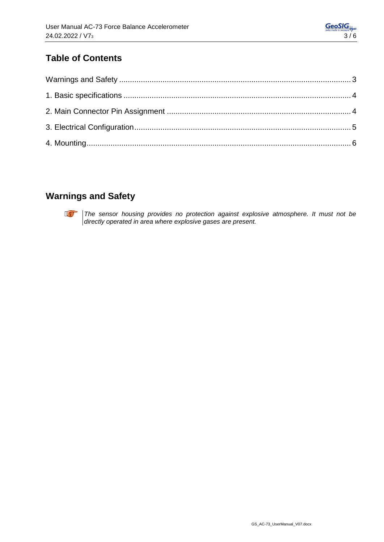# **Table of Contents**

# **Warnings and Safety**



**The sensor housing provides no protection against explosive atmosphere. It must not be** *directly operated in area where explosive gases are present.*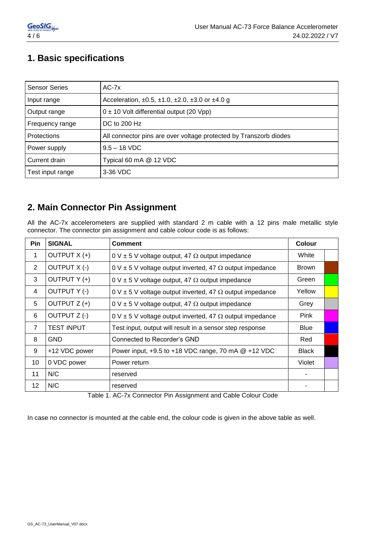# **1. Basic specifications**

| <b>Sensor Series</b> | $AC-7x$                                                           |
|----------------------|-------------------------------------------------------------------|
| Input range          | Acceleration, ±0.5, ±1.0, ±2.0, ±3.0 or ±4.0 g                    |
| Output range         | $0 \pm 10$ Volt differential output (20 Vpp)                      |
| Frequency range      | DC to 200 Hz                                                      |
| <b>Protections</b>   | All connector pins are over voltage protected by Transzorb diodes |
| Power supply         | $9.5 - 18$ VDC                                                    |
| Current drain        | Typical 60 mA @ 12 VDC                                            |
| Test input range     | 3-36 VDC                                                          |

### **2. Main Connector Pin Assignment**

All the AC-7x accelerometers are supplied with standard 2 m cable with a 12 pins male metallic style connector. The connector pin assignment and cable colour code is as follows:

| Pin            | <b>SIGNAL</b>     | <b>Comment</b>                                                            |              |  |
|----------------|-------------------|---------------------------------------------------------------------------|--------------|--|
| $\mathbf{1}$   | OUTPUT X (+)      | $0 \vee \pm 5 \vee$ voltage output, 47 $\Omega$ output impedance          | White        |  |
| $\overline{2}$ | OUTPUT X (-)      | $0 \vee \pm 5 \vee$ voltage output inverted, 47 $\Omega$ output impedance | <b>Brown</b> |  |
| 3              | OUTPUT Y (+)      | $0 \vee \pm 5 \vee$ voltage output, 47 $\Omega$ output impedance          | Green        |  |
| 4              | OUTPUT Y (-)      | $0 \vee \pm 5 \vee$ voltage output inverted, 47 $\Omega$ output impedance | Yellow       |  |
| 5              | OUTPUT Z (+)      | 0 V $\pm$ 5 V voltage output, 47 $\Omega$ output impedance                |              |  |
| 6              | OUTPUT Z (-)      | $0 \vee \pm 5 \vee$ voltage output inverted, 47 $\Omega$ output impedance | Pink         |  |
| $\overline{7}$ | <b>TEST INPUT</b> | Test input, output will result in a sensor step response                  | <b>Blue</b>  |  |
| 8              | <b>GND</b>        | Connected to Recorder's GND                                               | Red          |  |
| 9              | +12 VDC power     | Power input, +9.5 to +18 VDC range, 70 mA @ +12 VDC                       | <b>Black</b> |  |
| 10             | 0 VDC power       | Power return                                                              | Violet       |  |
| 11             | N/C               | reserved                                                                  | ٠            |  |
| 12             | N/C               | reserved                                                                  |              |  |

Table 1. AC-7x Connector Pin Assignment and Cable Colour Code

In case no connector is mounted at the cable end, the colour code is given in the above table as well.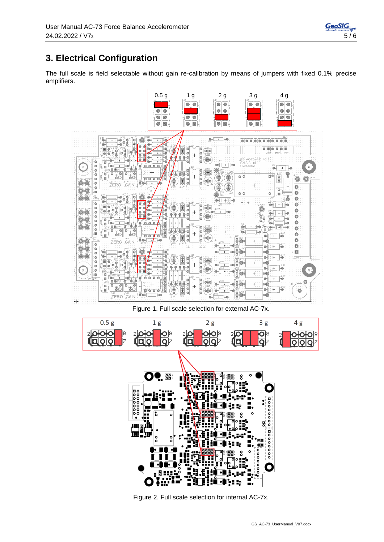# **3. Electrical Configuration**

The full scale is field selectable without gain re-calibration by means of jumpers with fixed 0.1% precise amplifiers.



Figure 2. Full scale selection for internal AC-7x.

8

Η Еç ī.